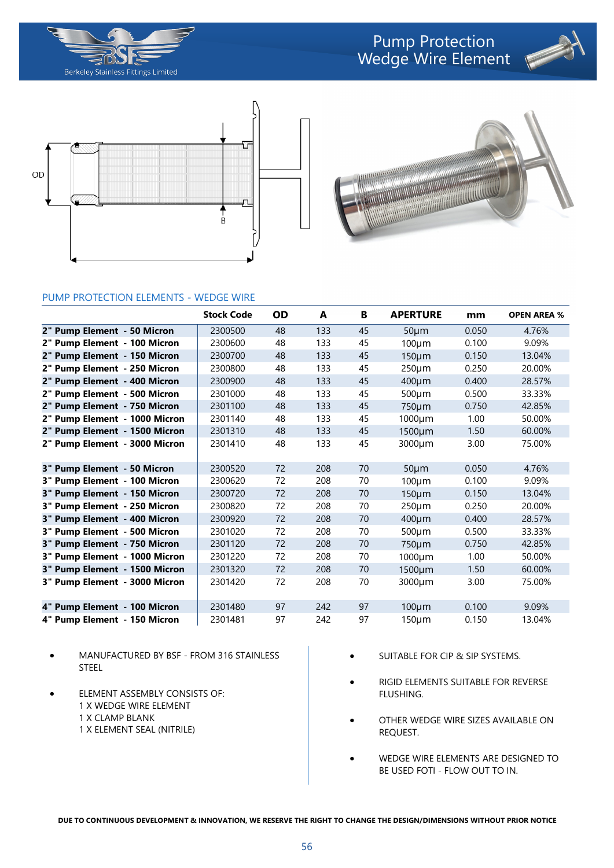







## PUMP PROTECTION ELEMENTS - WEDGE WIRE

|                               | <b>Stock Code</b> | <b>OD</b> | A   | B  | <b>APERTURE</b> | mm    | <b>OPEN AREA %</b> |
|-------------------------------|-------------------|-----------|-----|----|-----------------|-------|--------------------|
| 2" Pump Element - 50 Micron   | 2300500           | 48        | 133 | 45 | $50 \mu m$      | 0.050 | 4.76%              |
| 2" Pump Element - 100 Micron  | 2300600           | 48        | 133 | 45 | $100 \mu m$     | 0.100 | 9.09%              |
| 2" Pump Element - 150 Micron  | 2300700           | 48        | 133 | 45 | $150 \mu m$     | 0.150 | 13.04%             |
| 2" Pump Element - 250 Micron  | 2300800           | 48        | 133 | 45 | $250 \mu m$     | 0.250 | 20.00%             |
| 2" Pump Element - 400 Micron  | 2300900           | 48        | 133 | 45 | $400 \mu m$     | 0.400 | 28.57%             |
| 2" Pump Element - 500 Micron  | 2301000           | 48        | 133 | 45 | 500µm           | 0.500 | 33.33%             |
| 2" Pump Element - 750 Micron  | 2301100           | 48        | 133 | 45 | 750µm           | 0.750 | 42.85%             |
| 2" Pump Element - 1000 Micron | 2301140           | 48        | 133 | 45 | 1000µm          | 1.00  | 50.00%             |
| 2" Pump Element - 1500 Micron | 2301310           | 48        | 133 | 45 | 1500µm          | 1.50  | 60.00%             |
| 2" Pump Element - 3000 Micron | 2301410           | 48        | 133 | 45 | 3000µm          | 3.00  | 75.00%             |
| 3" Pump Element - 50 Micron   | 2300520           | 72        | 208 | 70 | $50 \mu m$      | 0.050 | 4.76%              |
| 3" Pump Element - 100 Micron  | 2300620           | 72        | 208 | 70 | $100 \mu m$     | 0.100 | 9.09%              |
| 3" Pump Element - 150 Micron  | 2300720           | 72        | 208 | 70 | $150 \mu m$     | 0.150 | 13.04%             |
| 3" Pump Element - 250 Micron  | 2300820           | 72        | 208 | 70 | $250 \mu m$     | 0.250 | 20.00%             |
| 3" Pump Element - 400 Micron  | 2300920           | 72        | 208 | 70 | 400µm           | 0.400 | 28.57%             |
| 3" Pump Element - 500 Micron  | 2301020           | 72        | 208 | 70 | 500µm           | 0.500 | 33.33%             |
| 3" Pump Element - 750 Micron  | 2301120           | 72        | 208 | 70 | 750µm           | 0.750 | 42.85%             |
| 3" Pump Element - 1000 Micron | 2301220           | 72        | 208 | 70 | 1000µm          | 1.00  | 50.00%             |
| 3" Pump Element - 1500 Micron | 2301320           | 72        | 208 | 70 | 1500µm          | 1.50  | 60.00%             |
| 3" Pump Element - 3000 Micron | 2301420           | 72        | 208 | 70 | 3000µm          | 3.00  | 75.00%             |
| 4" Pump Element - 100 Micron  | 2301480           | 97        | 242 | 97 | $100 \mu m$     | 0.100 | 9.09%              |
| 4" Pump Element - 150 Micron  | 2301481           | 97        | 242 | 97 | $150 \mu m$     | 0.150 | 13.04%             |

- MANUFACTURED BY BSF FROM 316 STAINLESS STEEL
- **ELEMENT ASSEMBLY CONSISTS OF:** 1 X WEDGE WIRE ELEMENT 1 X CLAMP BLANK 1 X ELEMENT SEAL (NITRILE)
- SUITABLE FOR CIP & SIP SYSTEMS.
- RIGID ELEMENTS SUITABLE FOR REVERSE FLUSHING.
- OTHER WEDGE WIRE SIZES AVAILABLE ON REQUEST.
- WEDGE WIRE ELEMENTS ARE DESIGNED TO BE USED FOTI - FLOW OUT TO IN.